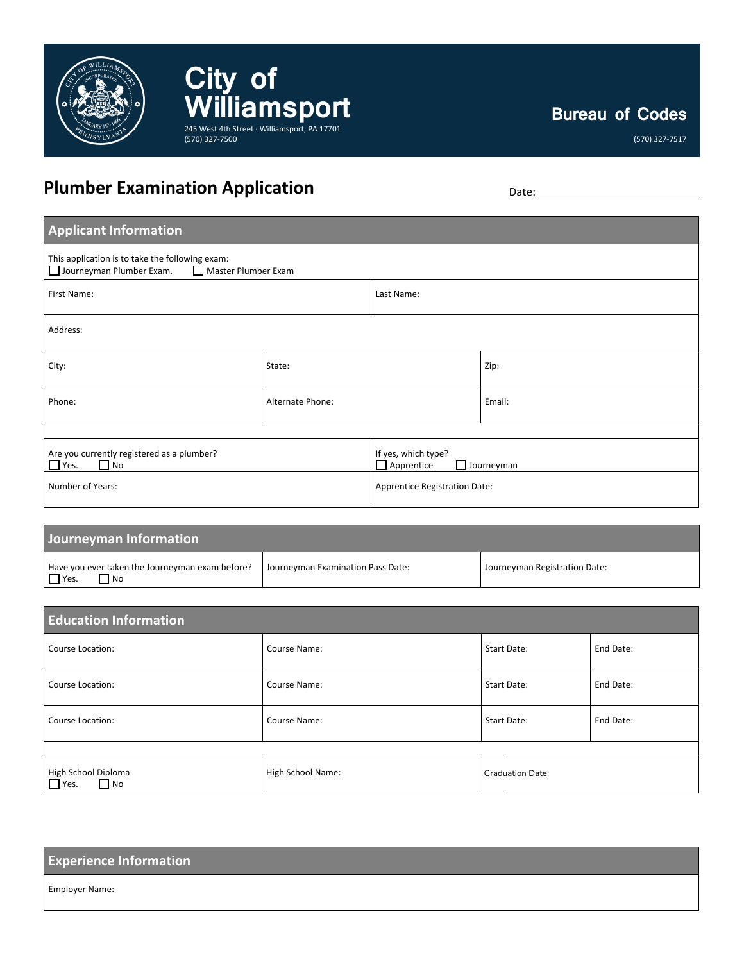

**City of**  WilliamSport (570) 327-7500

(570) 327-7517

## **Plumber Examination Application** Date: Date:

| <b>Applicant Information</b>                                                                       |                  |                                                        |        |
|----------------------------------------------------------------------------------------------------|------------------|--------------------------------------------------------|--------|
| This application is to take the following exam:<br>Journeyman Plumber Exam.<br>Master Plumber Exam |                  |                                                        |        |
| First Name:                                                                                        |                  | Last Name:                                             |        |
| Address:                                                                                           |                  |                                                        |        |
| City:                                                                                              | State:           |                                                        | Zip:   |
| Phone:                                                                                             | Alternate Phone: |                                                        | Email: |
|                                                                                                    |                  |                                                        |        |
| Are you currently registered as a plumber?<br>$\Box$ Yes.<br>$\Box$ No                             |                  | If yes, which type?<br>$\Box$ Apprentice<br>Journeyman |        |
| Number of Years:                                                                                   |                  | Apprentice Registration Date:                          |        |

| Journeyman Information                                                 |                                   |                               |
|------------------------------------------------------------------------|-----------------------------------|-------------------------------|
| Have you ever taken the Journeyman exam before?<br>$\Box$ Yes.<br>l No | Journeyman Examination Pass Date: | Journeyman Registration Date: |

| <b>Education Information</b>                    |                   |                         |           |
|-------------------------------------------------|-------------------|-------------------------|-----------|
| Course Location:                                | Course Name:      | Start Date:             | End Date: |
| Course Location:                                | Course Name:      | Start Date:             | End Date: |
| Course Location:                                | Course Name:      | Start Date:             | End Date: |
|                                                 |                   |                         |           |
| High School Diploma<br>$\Box$ Yes.<br>$\Box$ No | High School Name: | <b>Graduation Date:</b> |           |

| <b>Experience Information</b> |  |
|-------------------------------|--|
| <b>Employer Name:</b>         |  |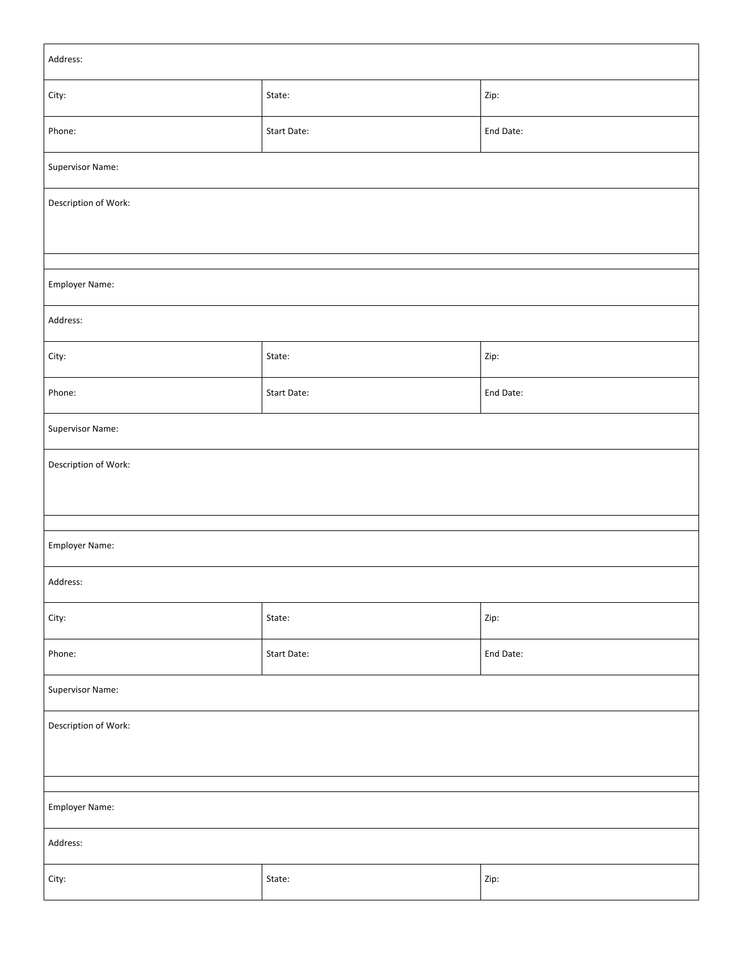| Address:             |             |           |
|----------------------|-------------|-----------|
| City:                | State:      | Zip:      |
| Phone:               | Start Date: | End Date: |
| Supervisor Name:     |             |           |
| Description of Work: |             |           |
|                      |             |           |
| Employer Name:       |             |           |
| Address:             |             |           |
| City:                | State:      | Zip:      |
| Phone:               | Start Date: | End Date: |
| Supervisor Name:     |             |           |
| Description of Work: |             |           |
|                      |             |           |
| Employer Name:       |             |           |
| Address:             |             |           |
| City:                | State:      | Zip:      |
| Phone:               | Start Date: | End Date: |
| Supervisor Name:     |             |           |
| Description of Work: |             |           |
|                      |             |           |
|                      |             |           |
| Employer Name:       |             |           |
| Address:             |             |           |
| City:                | State:      | Zip:      |